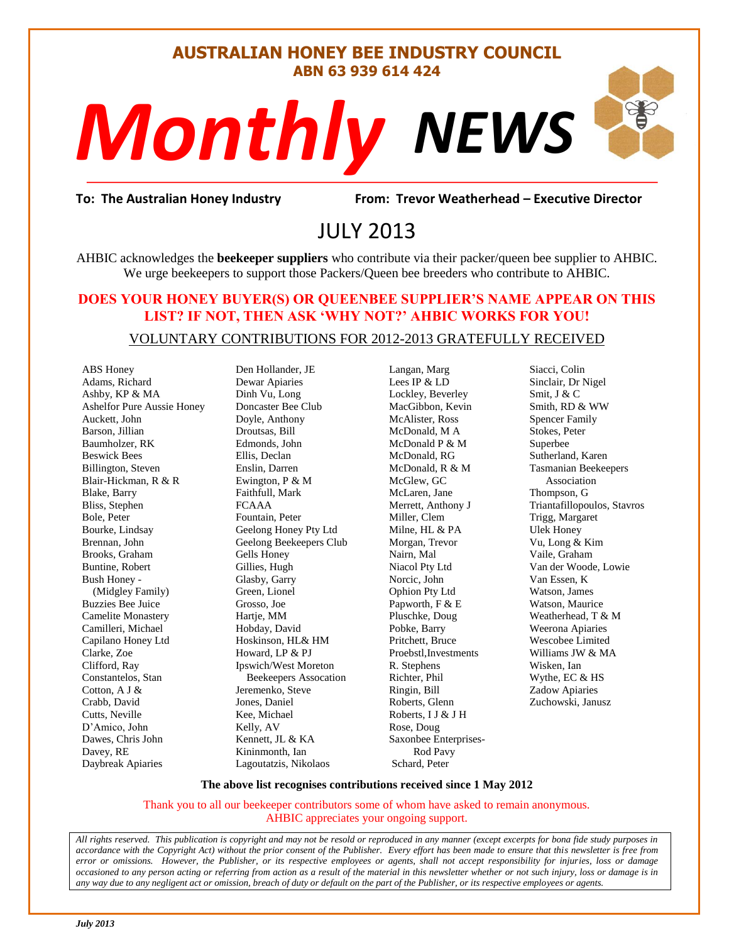#### **AUSTRALIAN HONEY BEE INDUSTRY COUNCIL ABN 63 939 614 424**

# *NEWS Monthly*

evor Weatherh<br>}<br>} **To: The Australian Honey Industry From: Trevor Weatherhead – Executive Director**

## JULY 2013

AHBIC acknowledges the **beekeeper suppliers** who contribute via their packer/queen bee supplier to AHBIC. We urge beekeepers to support those Packers/Queen bee breeders who contribute to AHBIC.

#### **DOES YOUR HONEY BUYER(S) OR QUEENBEE SUPPLIER'S NAME APPEAR ON THIS LIST? IF NOT, THEN ASK 'WHY NOT?' AHBIC WORKS FOR YOU!**

#### VOLUNTARY CONTRIBUTIONS FOR 2012-2013 GRATEFULLY RECEIVED

ABS Honey Adams, Richard Ashby, KP & MA Ashelfor Pure Aussie Honey Auckett, John Barson, Jillian Baumholzer, RK Beswick Bees Billington, Steven Blair-Hickman, R & R Blake, Barry Bliss, Stephen Bole, Peter Bourke, Lindsay Brennan, John Brooks, Graham Buntine, Robert Bush Honey - (Midgley Family) Buzzies Bee Juice Camelite Monastery Camilleri, Michael Capilano Honey Ltd Clarke, Zoe Clifford, Ray Constantelos, Stan Cotton, A J & Crabb, David Cutts, Neville D'Amico, John Dawes, Chris John Davey, RE Daybreak Apiaries

Den Hollander, JE Dewar Apiaries Dinh Vu, Long Doncaster Bee Club Doyle, Anthony Droutsas, Bill Edmonds, John Ellis, Declan Enslin, Darren Ewington, P & M Faithfull, Mark FCAAA Fountain, Peter Geelong Honey Pty Ltd Geelong Beekeepers Club Gells Honey Gillies, Hugh Glasby, Garry Green, Lionel Grosso, Joe Hartje, MM Hobday, David Hoskinson, HL& HM Howard, LP & PJ Ipswich/West Moreton Beekeepers Assocation Jeremenko, Steve Jones, Daniel Kee, Michael Kelly, AV Kennett, JL & KA Kininmonth, Ian Lagoutatzis, Nikolaos

Langan, Marg Lees IP & LD Lockley, Beverley MacGibbon, Kevin McAlister, Ross McDonald, M A McDonald P & M McDonald, RG McDonald, R & M McGlew, GC McLaren, Jane Merrett, Anthony J Miller, Clem Milne, HL & PA Morgan, Trevor Nairn, Mal Niacol Pty Ltd Norcic, John Ophion Pty Ltd Papworth, F & E Pluschke, Doug Pobke, Barry Pritchett, Bruce Proebstl,Investments R. Stephens Richter, Phil Ringin, Bill Roberts, Glenn Roberts, I J & J H Rose, Doug Saxonbee Enterprises- Rod Pavy Schard, Peter

Siacci, Colin Sinclair, Dr Nigel Smit, J & C Smith, RD & WW Spencer Family Stokes, Peter Superbee Sutherland, Karen Tasmanian Beekeepers Association Thompson, G Triantafillopoulos, Stavros Trigg, Margaret Ulek Honey Vu, Long & Kim Vaile, Graham Van der Woode, Lowie Van Essen, K Watson, James Watson, Maurice Weatherhead, T & M Weerona Apiaries Wescobee Limited Williams JW & MA Wisken, Ian Wythe, EC & HS Zadow Apiaries Zuchowski, Janusz

S

#### **The above list recognises contributions received since 1 May 2012**

Thank you to all our beekeeper contributors some of whom have asked to remain anonymous. AHBIC appreciates your ongoing support.

*All rights reserved. This publication is copyright and may not be resold or reproduced in any manner (except excerpts for bona fide study purposes in accordance with the Copyright Act) without the prior consent of the Publisher. Every effort has been made to ensure that this newsletter is free from error or omissions. However, the Publisher, or its respective employees or agents, shall not accept responsibility for injuries, loss or damage occasioned to any person acting or referring from action as a result of the material in this newsletter whether or not such injury, loss or damage is in any way due to any negligent act or omission, breach of duty or default on the part of the Publisher, or its respective employees or agents.*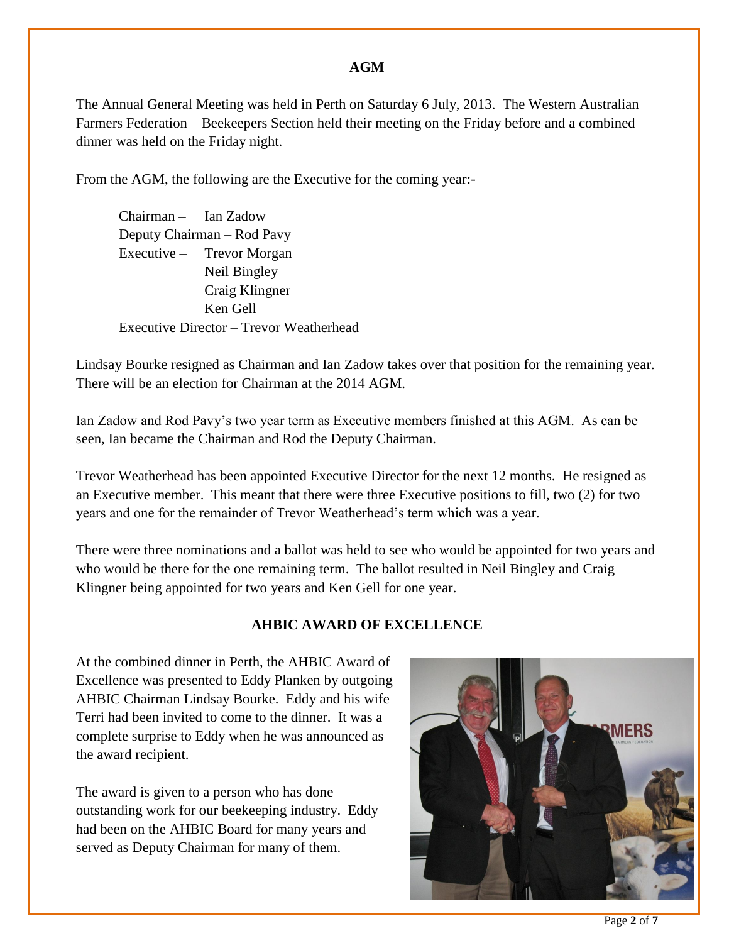#### **AGM**

The Annual General Meeting was held in Perth on Saturday 6 July, 2013. The Western Australian Farmers Federation – Beekeepers Section held their meeting on the Friday before and a combined dinner was held on the Friday night.

From the AGM, the following are the Executive for the coming year:-

Chairman – Ian Zadow Deputy Chairman – Rod Pavy Executive – Trevor Morgan Neil Bingley Craig Klingner Ken Gell Executive Director – Trevor Weatherhead

Lindsay Bourke resigned as Chairman and Ian Zadow takes over that position for the remaining year. There will be an election for Chairman at the 2014 AGM.

Ian Zadow and Rod Pavy's two year term as Executive members finished at this AGM. As can be seen, Ian became the Chairman and Rod the Deputy Chairman.

Trevor Weatherhead has been appointed Executive Director for the next 12 months. He resigned as an Executive member. This meant that there were three Executive positions to fill, two (2) for two years and one for the remainder of Trevor Weatherhead's term which was a year.

There were three nominations and a ballot was held to see who would be appointed for two years and who would be there for the one remaining term. The ballot resulted in Neil Bingley and Craig Klingner being appointed for two years and Ken Gell for one year.

#### **AHBIC AWARD OF EXCELLENCE**

At the combined dinner in Perth, the AHBIC Award of Excellence was presented to Eddy Planken by outgoing AHBIC Chairman Lindsay Bourke. Eddy and his wife Terri had been invited to come to the dinner. It was a complete surprise to Eddy when he was announced as the award recipient.

The award is given to a person who has done outstanding work for our beekeeping industry. Eddy had been on the AHBIC Board for many years and served as Deputy Chairman for many of them.

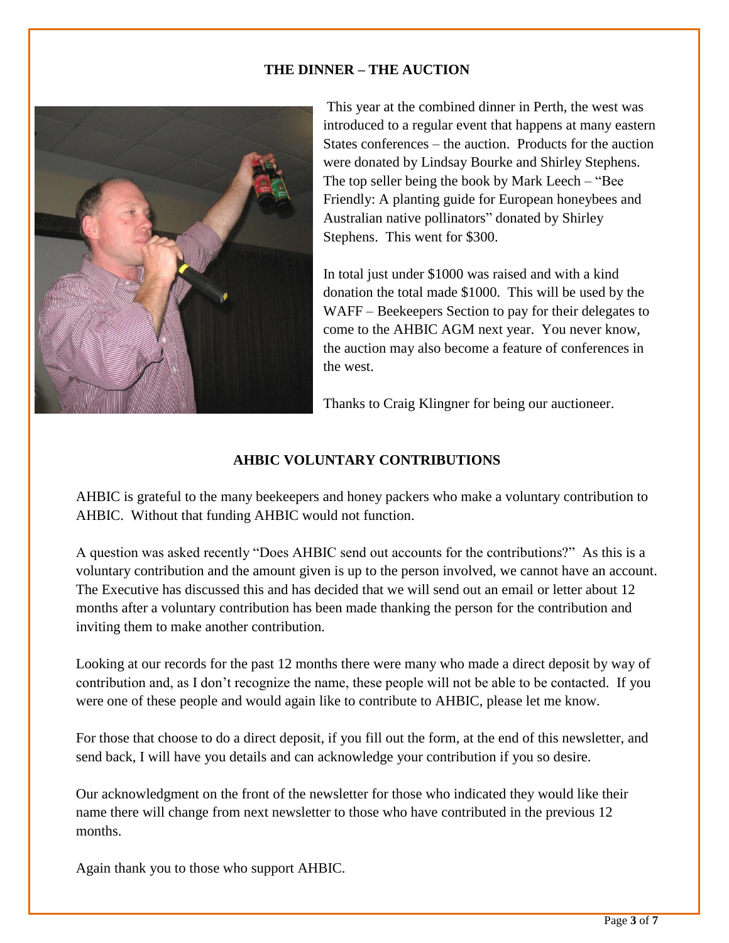#### **THE DINNER – THE AUCTION**



This year at the combined dinner in Perth, the west was introduced to a regular event that happens at many eastern States conferences – the auction. Products for the auction were donated by Lindsay Bourke and Shirley Stephens. The top seller being the book by Mark Leech – "Bee Friendly: A planting guide for European honeybees and Australian native pollinators" donated by Shirley Stephens. This went for \$300.

In total just under \$1000 was raised and with a kind donation the total made \$1000. This will be used by the WAFF – Beekeepers Section to pay for their delegates to come to the AHBIC AGM next year. You never know, the auction may also become a feature of conferences in the west.

Thanks to Craig Klingner for being our auctioneer.

#### **AHBIC VOLUNTARY CONTRIBUTIONS**

AHBIC is grateful to the many beekeepers and honey packers who make a voluntary contribution to AHBIC. Without that funding AHBIC would not function.

A question was asked recently "Does AHBIC send out accounts for the contributions?" As this is a voluntary contribution and the amount given is up to the person involved, we cannot have an account. The Executive has discussed this and has decided that we will send out an email or letter about 12 months after a voluntary contribution has been made thanking the person for the contribution and inviting them to make another contribution.

Looking at our records for the past 12 months there were many who made a direct deposit by way of contribution and, as I don't recognize the name, these people will not be able to be contacted. If you were one of these people and would again like to contribute to AHBIC, please let me know.

For those that choose to do a direct deposit, if you fill out the form, at the end of this newsletter, and send back, I will have you details and can acknowledge your contribution if you so desire.

Our acknowledgment on the front of the newsletter for those who indicated they would like their name there will change from next newsletter to those who have contributed in the previous 12 months.

Again thank you to those who support AHBIC.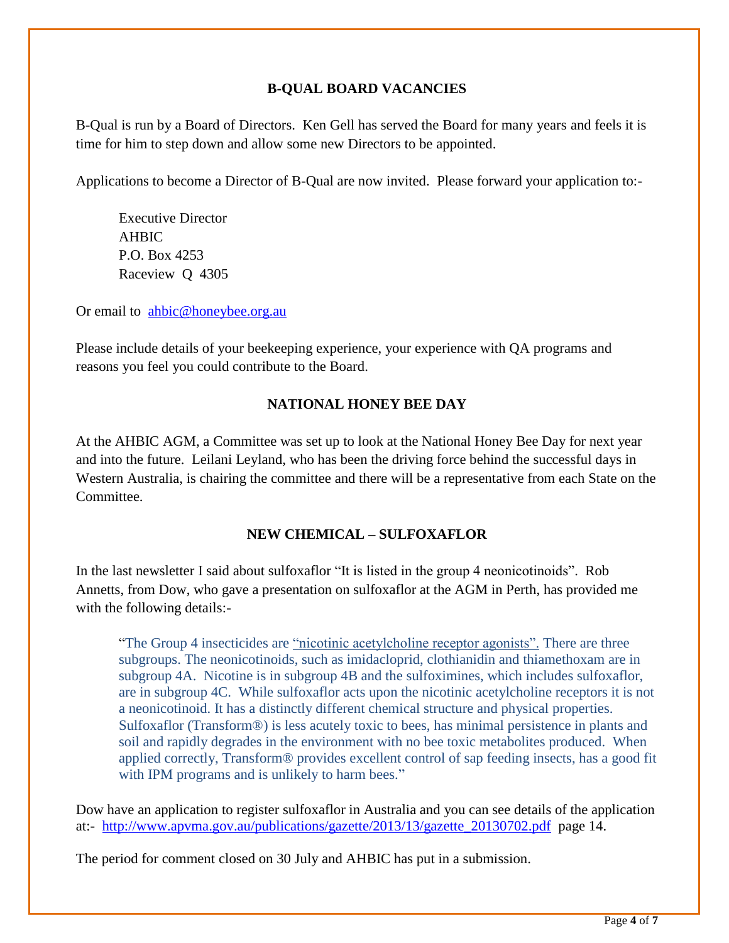#### **B-QUAL BOARD VACANCIES**

B-Qual is run by a Board of Directors. Ken Gell has served the Board for many years and feels it is time for him to step down and allow some new Directors to be appointed.

Applications to become a Director of B-Qual are now invited. Please forward your application to:-

Executive Director AHBIC P.O. Box 4253 Raceview Q 4305

Or email to [ahbic@honeybee.org.au](mailto:ahbic@honeybee.org.au)

Please include details of your beekeeping experience, your experience with QA programs and reasons you feel you could contribute to the Board.

#### **NATIONAL HONEY BEE DAY**

At the AHBIC AGM, a Committee was set up to look at the National Honey Bee Day for next year and into the future. Leilani Leyland, who has been the driving force behind the successful days in Western Australia, is chairing the committee and there will be a representative from each State on the Committee.

#### **NEW CHEMICAL – SULFOXAFLOR**

In the last newsletter I said about sulfoxaflor "It is listed in the group 4 neonicotinoids". Rob Annetts, from Dow, who gave a presentation on sulfoxaflor at the AGM in Perth, has provided me with the following details:-

"The Group 4 insecticides are "nicotinic acetylcholine receptor agonists". There are three subgroups. The neonicotinoids, such as imidacloprid, clothianidin and thiamethoxam are in subgroup 4A. Nicotine is in subgroup 4B and the sulfoximines, which includes sulfoxaflor, are in subgroup 4C. While sulfoxaflor acts upon the nicotinic acetylcholine receptors it is not a neonicotinoid. It has a distinctly different chemical structure and physical properties. Sulfoxaflor (Transform®) is less acutely toxic to bees, has minimal persistence in plants and soil and rapidly degrades in the environment with no bee toxic metabolites produced. When applied correctly, Transform® provides excellent control of sap feeding insects, has a good fit with IPM programs and is unlikely to harm bees."

Dow have an application to register sulfoxaflor in Australia and you can see details of the application at:- [http://www.apvma.gov.au/publications/gazette/2013/13/gazette\\_20130702.pdf](http://www.apvma.gov.au/publications/gazette/2013/13/gazette_20130702.pdf) page 14.

The period for comment closed on 30 July and AHBIC has put in a submission.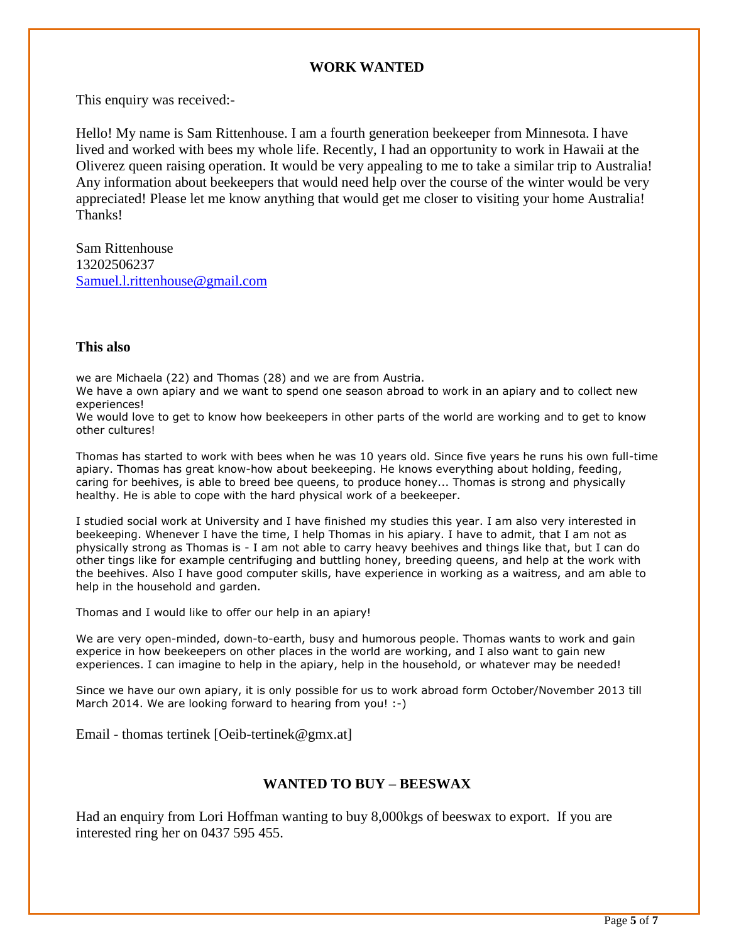#### **WORK WANTED**

This enquiry was received:-

Hello! My name is Sam Rittenhouse. I am a fourth generation beekeeper from Minnesota. I have lived and worked with bees my whole life. Recently, I had an opportunity to work in Hawaii at the Oliverez queen raising operation. It would be very appealing to me to take a similar trip to Australia! Any information about beekeepers that would need help over the course of the winter would be very appreciated! Please let me know anything that would get me closer to visiting your home Australia! Thanks!

Sam Rittenhouse 13202506237 [Samuel.l.rittenhouse@gmail.com](mailto:Samuel.l.rittenhouse@gmail.com)

#### **This also**

we are Michaela (22) and Thomas (28) and we are from Austria.

We have a own apiary and we want to spend one season abroad to work in an apiary and to collect new experiences!

We would love to get to know how beekeepers in other parts of the world are working and to get to know other cultures!

Thomas has started to work with bees when he was 10 years old. Since five years he runs his own full-time apiary. Thomas has great know-how about beekeeping. He knows everything about holding, feeding, caring for beehives, is able to breed bee queens, to produce honey... Thomas is strong and physically healthy. He is able to cope with the hard physical work of a beekeeper.

I studied social work at University and I have finished my studies this year. I am also very interested in beekeeping. Whenever I have the time, I help Thomas in his apiary. I have to admit, that I am not as physically strong as Thomas is - I am not able to carry heavy beehives and things like that, but I can do other tings like for example centrifuging and buttling honey, breeding queens, and help at the work with the beehives. Also I have good computer skills, have experience in working as a waitress, and am able to help in the household and garden.

Thomas and I would like to offer our help in an apiary!

We are very open-minded, down-to-earth, busy and humorous people. Thomas wants to work and gain experice in how beekeepers on other places in the world are working, and I also want to gain new experiences. I can imagine to help in the apiary, help in the household, or whatever may be needed!

Since we have our own apiary, it is only possible for us to work abroad form October/November 2013 till March 2014. We are looking forward to hearing from you! :-)

Email - thomas tertinek [Oeib-tertinek@gmx.at]

#### **WANTED TO BUY – BEESWAX**

Had an enquiry from Lori Hoffman wanting to buy 8,000kgs of beeswax to export. If you are interested ring her on 0437 595 455.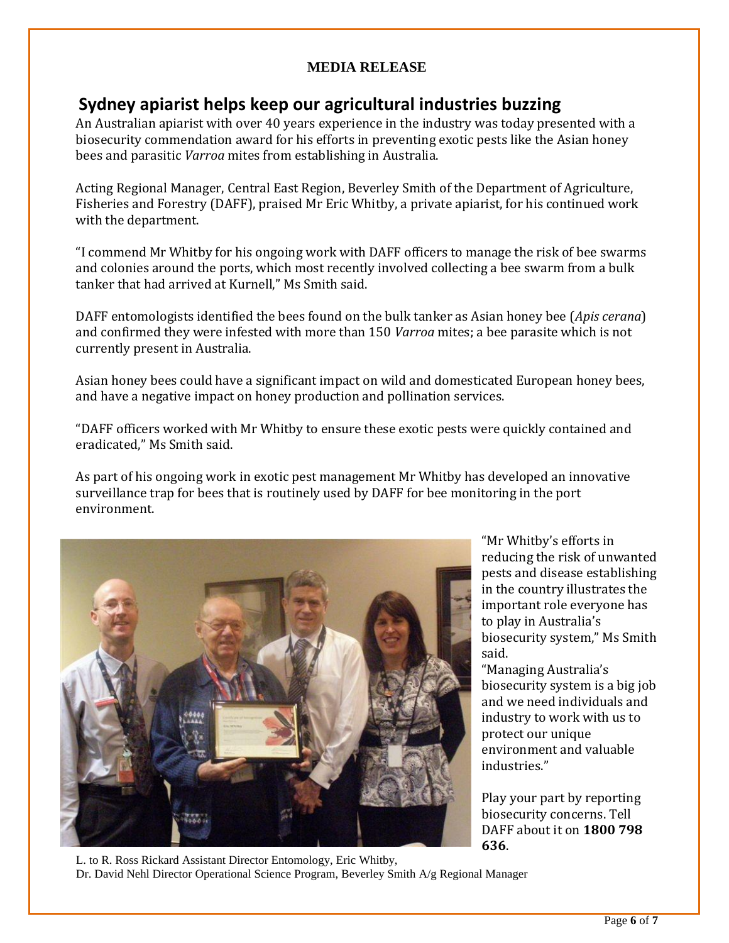#### **MEDIA RELEASE**

### **Sydney apiarist helps keep our agricultural industries buzzing**

An Australian apiarist with over 40 years experience in the industry was today presented with a biosecurity commendation award for his efforts in preventing exotic pests like the Asian honey bees and parasitic *Varroa* mites from establishing in Australia.

Acting Regional Manager, Central East Region, Beverley Smith of the Department of Agriculture, Fisheries and Forestry (DAFF), praised Mr Eric Whitby, a private apiarist, for his continued work with the department.

"I commend Mr Whitby for his ongoing work with DAFF officers to manage the risk of bee swarms and colonies around the ports, which most recently involved collecting a bee swarm from a bulk tanker that had arrived at Kurnell," Ms Smith said.

DAFF entomologists identified the bees found on the bulk tanker as Asian honey bee (*Apis cerana*) and confirmed they were infested with more than 150 *Varroa* mites; a bee parasite which is not currently present in Australia.

Asian honey bees could have a significant impact on wild and domesticated European honey bees, and have a negative impact on honey production and pollination services.

"DAFF officers worked with Mr Whitby to ensure these exotic pests were quickly contained and eradicated," Ms Smith said.

As part of his ongoing work in exotic pest management Mr Whitby has developed an innovative surveillance trap for bees that is routinely used by DAFF for bee monitoring in the port environment.



"Mr Whitby's efforts in reducing the risk of unwanted pests and disease establishing in the country illustrates the important role everyone has to play in Australia's biosecurity system," Ms Smith said.

"Managing Australia's biosecurity system is a big job and we need individuals and industry to work with us to protect our unique environment and valuable industries."

Play your part by reporting biosecurity concerns. Tell DAFF about it on **1800 798 636**.

L. to R. Ross Rickard Assistant Director Entomology, Eric Whitby, Dr. David Nehl Director Operational Science Program, Beverley Smith A/g Regional Manager